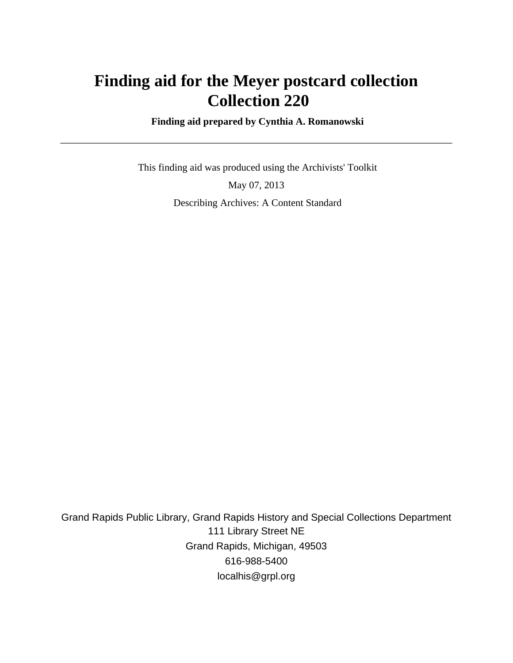# **Finding aid for the Meyer postcard collection Collection 220**

 **Finding aid prepared by Cynthia A. Romanowski**

 This finding aid was produced using the Archivists' Toolkit May 07, 2013 Describing Archives: A Content Standard

Grand Rapids Public Library, Grand Rapids History and Special Collections Department 111 Library Street NE Grand Rapids, Michigan, 49503 616-988-5400 localhis@grpl.org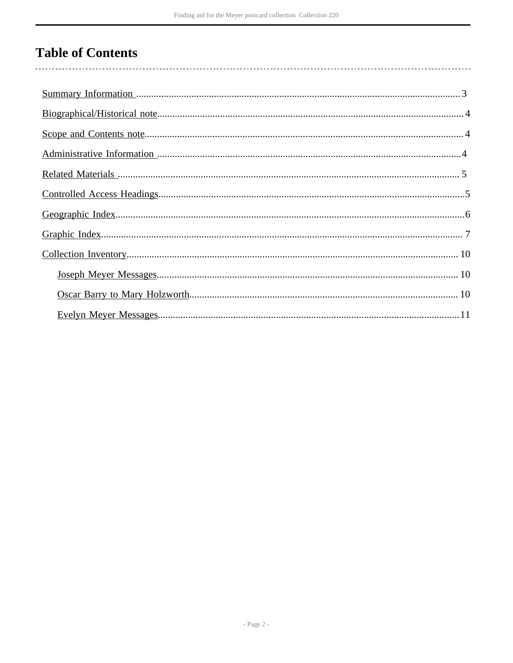# **Table of Contents**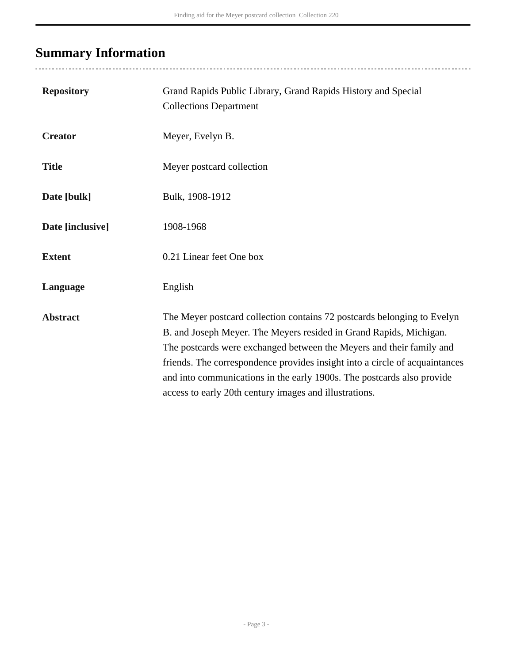# <span id="page-2-0"></span>**Summary Information**

| <b>Repository</b> | Grand Rapids Public Library, Grand Rapids History and Special<br><b>Collections Department</b>                                                                                                                                                                                                                                                                                                                                           |
|-------------------|------------------------------------------------------------------------------------------------------------------------------------------------------------------------------------------------------------------------------------------------------------------------------------------------------------------------------------------------------------------------------------------------------------------------------------------|
| <b>Creator</b>    | Meyer, Evelyn B.                                                                                                                                                                                                                                                                                                                                                                                                                         |
| <b>Title</b>      | Meyer postcard collection                                                                                                                                                                                                                                                                                                                                                                                                                |
| Date [bulk]       | Bulk, 1908-1912                                                                                                                                                                                                                                                                                                                                                                                                                          |
| Date [inclusive]  | 1908-1968                                                                                                                                                                                                                                                                                                                                                                                                                                |
| <b>Extent</b>     | 0.21 Linear feet One box                                                                                                                                                                                                                                                                                                                                                                                                                 |
| Language          | English                                                                                                                                                                                                                                                                                                                                                                                                                                  |
| <b>Abstract</b>   | The Meyer postcard collection contains 72 postcards belonging to Evelyn<br>B. and Joseph Meyer. The Meyers resided in Grand Rapids, Michigan.<br>The postcards were exchanged between the Meyers and their family and<br>friends. The correspondence provides insight into a circle of acquaintances<br>and into communications in the early 1900s. The postcards also provide<br>access to early 20th century images and illustrations. |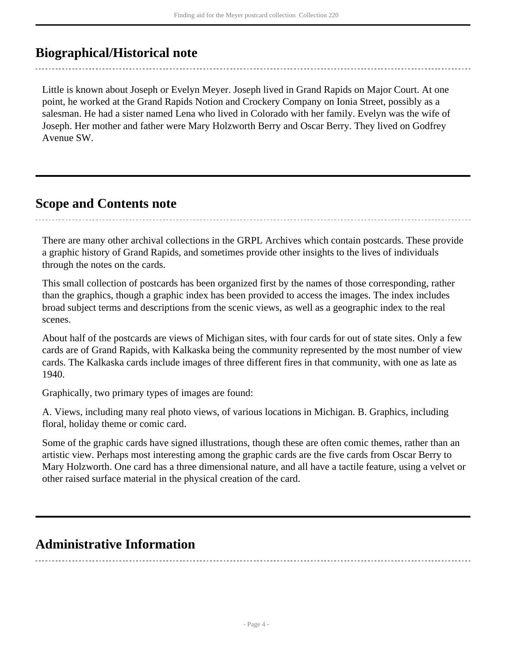## <span id="page-3-0"></span>**Biographical/Historical note**

Little is known about Joseph or Evelyn Meyer. Joseph lived in Grand Rapids on Major Court. At one point, he worked at the Grand Rapids Notion and Crockery Company on Ionia Street, possibly as a salesman. He had a sister named Lena who lived in Colorado with her family. Evelyn was the wife of Joseph. Her mother and father were Mary Holzworth Berry and Oscar Berry. They lived on Godfrey Avenue SW.

### <span id="page-3-1"></span>**Scope and Contents note**

There are many other archival collections in the GRPL Archives which contain postcards. These provide a graphic history of Grand Rapids, and sometimes provide other insights to the lives of individuals through the notes on the cards.

This small collection of postcards has been organized first by the names of those corresponding, rather than the graphics, though a graphic index has been provided to access the images. The index includes broad subject terms and descriptions from the scenic views, as well as a geographic index to the real scenes.

About half of the postcards are views of Michigan sites, with four cards for out of state sites. Only a few cards are of Grand Rapids, with Kalkaska being the community represented by the most number of view cards. The Kalkaska cards include images of three different fires in that community, with one as late as 1940.

Graphically, two primary types of images are found:

A. Views, including many real photo views, of various locations in Michigan. B. Graphics, including floral, holiday theme or comic card.

Some of the graphic cards have signed illustrations, though these are often comic themes, rather than an artistic view. Perhaps most interesting among the graphic cards are the five cards from Oscar Berry to Mary Holzworth. One card has a three dimensional nature, and all have a tactile feature, using a velvet or other raised surface material in the physical creation of the card.

## <span id="page-3-2"></span>**Administrative Information**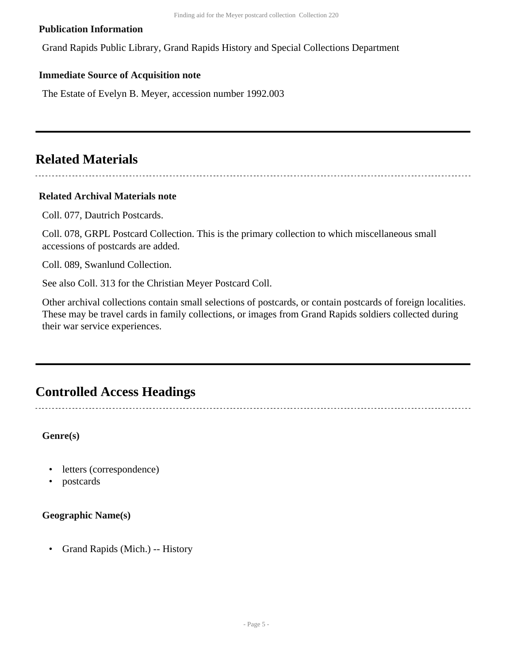#### **Publication Information**

Grand Rapids Public Library, Grand Rapids History and Special Collections Department

#### **Immediate Source of Acquisition note**

The Estate of Evelyn B. Meyer, accession number 1992.003

### <span id="page-4-0"></span>**Related Materials**

#### **Related Archival Materials note**

Coll. 077, Dautrich Postcards.

Coll. 078, GRPL Postcard Collection. This is the primary collection to which miscellaneous small accessions of postcards are added.

Coll. 089, Swanlund Collection.

See also Coll. 313 for the Christian Meyer Postcard Coll.

Other archival collections contain small selections of postcards, or contain postcards of foreign localities. These may be travel cards in family collections, or images from Grand Rapids soldiers collected during their war service experiences.

### <span id="page-4-1"></span>**Controlled Access Headings**

**Genre(s)**

- letters (correspondence)
- postcards

#### **Geographic Name(s)**

• Grand Rapids (Mich.) -- History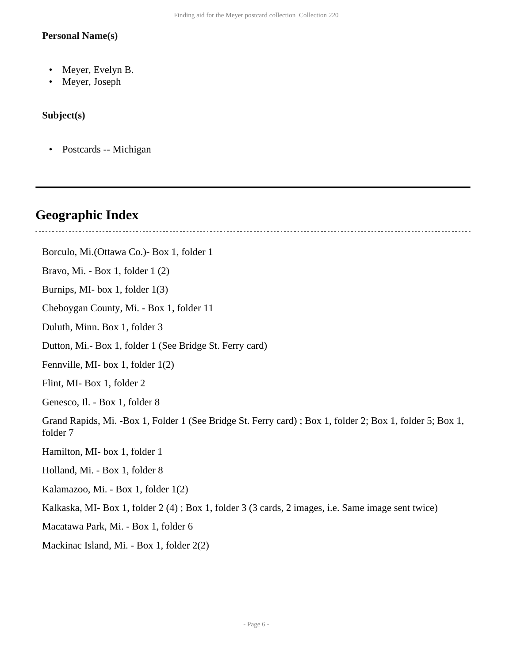#### **Personal Name(s)**

- Meyer, Evelyn B.
- Meyer, Joseph

#### **Subject(s)**

• Postcards -- Michigan

### <span id="page-5-0"></span>**Geographic Index**

Borculo, Mi.(Ottawa Co.)- Box 1, folder 1 Bravo, Mi. - Box 1, folder 1 (2) Burnips, MI- box 1, folder 1(3) Cheboygan County, Mi. - Box 1, folder 11 Duluth, Minn. Box 1, folder 3 Dutton, Mi.- Box 1, folder 1 (See Bridge St. Ferry card) Fennville, MI- box 1, folder 1(2) Flint, MI- Box 1, folder 2 Genesco, Il. - Box 1, folder 8 Grand Rapids, Mi. -Box 1, Folder 1 (See Bridge St. Ferry card) ; Box 1, folder 2; Box 1, folder 5; Box 1, folder 7 Hamilton, MI- box 1, folder 1 Holland, Mi. - Box 1, folder 8 Kalamazoo, Mi. - Box 1, folder 1(2) Kalkaska, MI- Box 1, folder 2 (4) ; Box 1, folder 3 (3 cards, 2 images, i.e. Same image sent twice) Macatawa Park, Mi. - Box 1, folder 6 Mackinac Island, Mi. - Box 1, folder 2(2)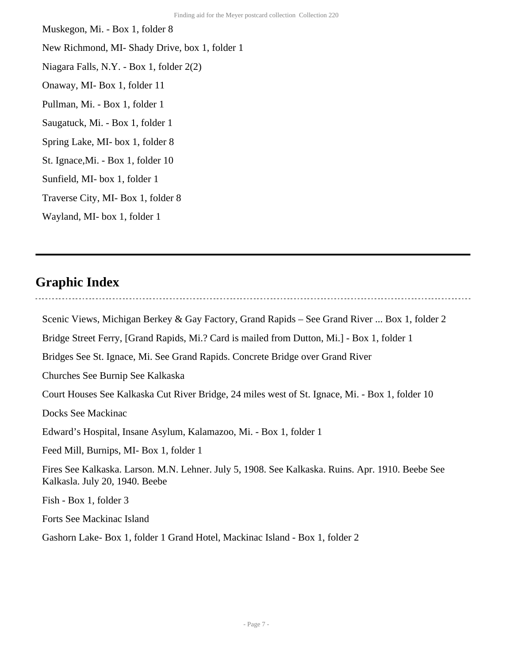Muskegon, Mi. - Box 1, folder 8 New Richmond, MI- Shady Drive, box 1, folder 1 Niagara Falls, N.Y. - Box 1, folder 2(2) Onaway, MI- Box 1, folder 11 Pullman, Mi. - Box 1, folder 1 Saugatuck, Mi. - Box 1, folder 1 Spring Lake, MI- box 1, folder 8 St. Ignace,Mi. - Box 1, folder 10 Sunfield, MI- box 1, folder 1 Traverse City, MI- Box 1, folder 8 Wayland, MI- box 1, folder 1

### <span id="page-6-0"></span>**Graphic Index**

Scenic Views, Michigan Berkey & Gay Factory, Grand Rapids – See Grand River ... Box 1, folder 2 Bridge Street Ferry, [Grand Rapids, Mi.? Card is mailed from Dutton, Mi.] - Box 1, folder 1 Bridges See St. Ignace, Mi. See Grand Rapids. Concrete Bridge over Grand River Churches See Burnip See Kalkaska Court Houses See Kalkaska Cut River Bridge, 24 miles west of St. Ignace, Mi. - Box 1, folder 10 Docks See Mackinac Edward's Hospital, Insane Asylum, Kalamazoo, Mi. - Box 1, folder 1 Feed Mill, Burnips, MI- Box 1, folder 1 Fires See Kalkaska. Larson. M.N. Lehner. July 5, 1908. See Kalkaska. Ruins. Apr. 1910. Beebe See Kalkasla. July 20, 1940. Beebe Fish - Box 1, folder 3 Forts See Mackinac Island

Gashorn Lake- Box 1, folder 1 Grand Hotel, Mackinac Island - Box 1, folder 2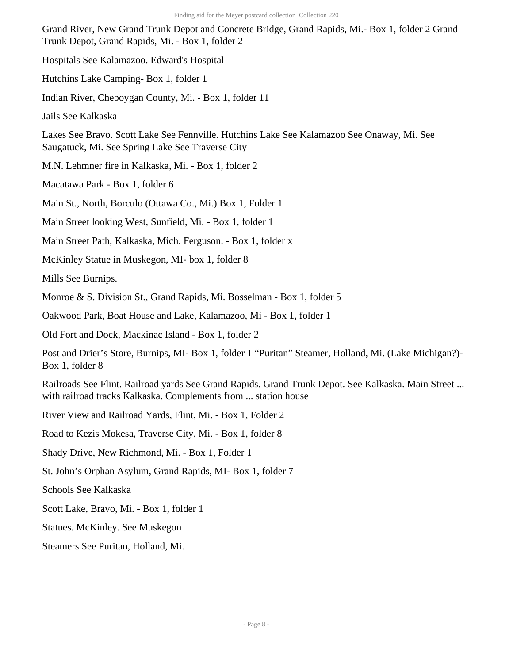Grand River, New Grand Trunk Depot and Concrete Bridge, Grand Rapids, Mi.- Box 1, folder 2 Grand Trunk Depot, Grand Rapids, Mi. - Box 1, folder 2

Hospitals See Kalamazoo. Edward's Hospital

Hutchins Lake Camping- Box 1, folder 1

Indian River, Cheboygan County, Mi. - Box 1, folder 11

Jails See Kalkaska

Lakes See Bravo. Scott Lake See Fennville. Hutchins Lake See Kalamazoo See Onaway, Mi. See Saugatuck, Mi. See Spring Lake See Traverse City

M.N. Lehmner fire in Kalkaska, Mi. - Box 1, folder 2

Macatawa Park - Box 1, folder 6

Main St., North, Borculo (Ottawa Co., Mi.) Box 1, Folder 1

Main Street looking West, Sunfield, Mi. - Box 1, folder 1

Main Street Path, Kalkaska, Mich. Ferguson. - Box 1, folder x

McKinley Statue in Muskegon, MI- box 1, folder 8

Mills See Burnips.

Monroe & S. Division St., Grand Rapids, Mi. Bosselman - Box 1, folder 5

Oakwood Park, Boat House and Lake, Kalamazoo, Mi - Box 1, folder 1

Old Fort and Dock, Mackinac Island - Box 1, folder 2

Post and Drier's Store, Burnips, MI- Box 1, folder 1 "Puritan" Steamer, Holland, Mi. (Lake Michigan?)- Box 1, folder 8

Railroads See Flint. Railroad yards See Grand Rapids. Grand Trunk Depot. See Kalkaska. Main Street ... with railroad tracks Kalkaska. Complements from ... station house

River View and Railroad Yards, Flint, Mi. - Box 1, Folder 2

Road to Kezis Mokesa, Traverse City, Mi. - Box 1, folder 8

Shady Drive, New Richmond, Mi. - Box 1, Folder 1

St. John's Orphan Asylum, Grand Rapids, MI- Box 1, folder 7

Schools See Kalkaska

Scott Lake, Bravo, Mi. - Box 1, folder 1

Statues. McKinley. See Muskegon

Steamers See Puritan, Holland, Mi.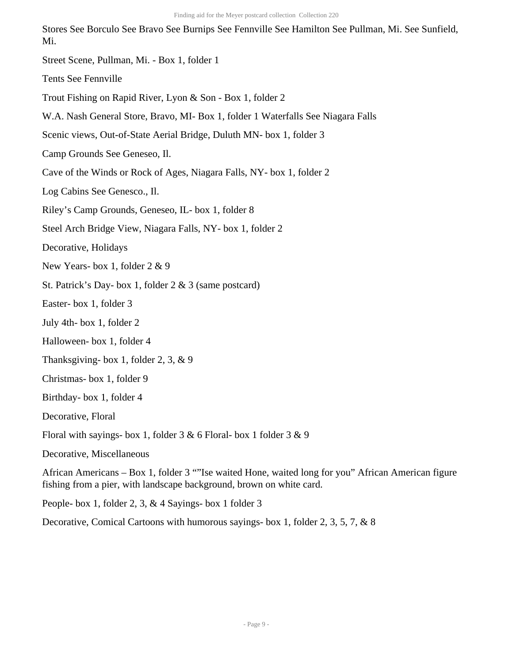Stores See Borculo See Bravo See Burnips See Fennville See Hamilton See Pullman, Mi. See Sunfield, Mi.

- Street Scene, Pullman, Mi. Box 1, folder 1
- Tents See Fennville
- Trout Fishing on Rapid River, Lyon & Son Box 1, folder 2
- W.A. Nash General Store, Bravo, MI- Box 1, folder 1 Waterfalls See Niagara Falls
- Scenic views, Out-of-State Aerial Bridge, Duluth MN- box 1, folder 3
- Camp Grounds See Geneseo, Il.
- Cave of the Winds or Rock of Ages, Niagara Falls, NY- box 1, folder 2
- Log Cabins See Genesco., Il.
- Riley's Camp Grounds, Geneseo, IL- box 1, folder 8
- Steel Arch Bridge View, Niagara Falls, NY- box 1, folder 2
- Decorative, Holidays
- New Years- box 1, folder 2 & 9
- St. Patrick's Day- box 1, folder 2 & 3 (same postcard)
- Easter- box 1, folder 3
- July 4th- box 1, folder 2
- Halloween- box 1, folder 4
- Thanksgiving- box 1, folder 2, 3, & 9
- Christmas- box 1, folder 9
- Birthday- box 1, folder 4
- Decorative, Floral
- Floral with sayings- box 1, folder 3 & 6 Floral- box 1 folder 3 & 9
- Decorative, Miscellaneous

African Americans – Box 1, folder 3 ""Ise waited Hone, waited long for you" African American figure fishing from a pier, with landscape background, brown on white card.

People- box 1, folder 2, 3, & 4 Sayings- box 1 folder 3

Decorative, Comical Cartoons with humorous sayings- box 1, folder 2, 3, 5, 7, & 8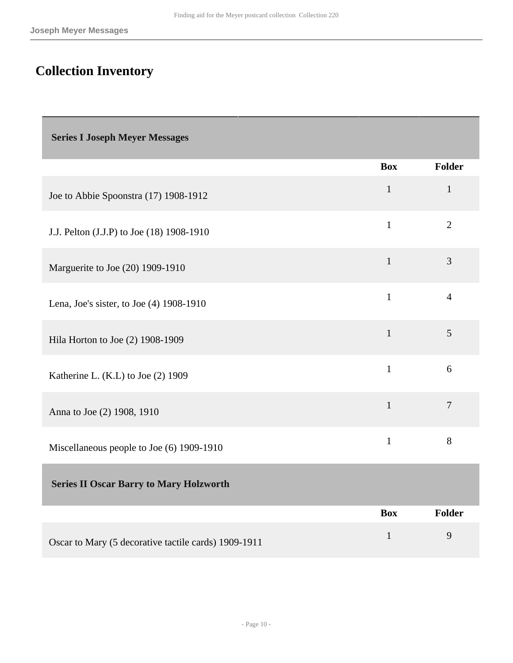# <span id="page-9-0"></span>**Collection Inventory**

<span id="page-9-2"></span><span id="page-9-1"></span>

| <b>Series I Joseph Meyer Messages</b>                |              |                |
|------------------------------------------------------|--------------|----------------|
|                                                      | <b>Box</b>   | <b>Folder</b>  |
| Joe to Abbie Spoonstra (17) 1908-1912                | $\mathbf{1}$ | $\mathbf{1}$   |
| J.J. Pelton (J.J.P) to Joe (18) 1908-1910            | $\mathbf{1}$ | $\overline{2}$ |
| Marguerite to Joe (20) 1909-1910                     | $\mathbf{1}$ | 3              |
| Lena, Joe's sister, to Joe (4) 1908-1910             | $\mathbf{1}$ | $\overline{4}$ |
| Hila Horton to Joe (2) 1908-1909                     | $\mathbf{1}$ | 5              |
| Katherine L. (K.L) to Joe (2) 1909                   | $\mathbf{1}$ | 6              |
| Anna to Joe (2) 1908, 1910                           | $\mathbf{1}$ | $\overline{7}$ |
| Miscellaneous people to Joe (6) 1909-1910            | $\mathbf{1}$ | 8              |
| <b>Series II Oscar Barry to Mary Holzworth</b>       |              |                |
|                                                      | <b>Box</b>   | <b>Folder</b>  |
| Oscar to Mary (5 decorative tactile cards) 1909-1911 | $\mathbf{1}$ | 9              |